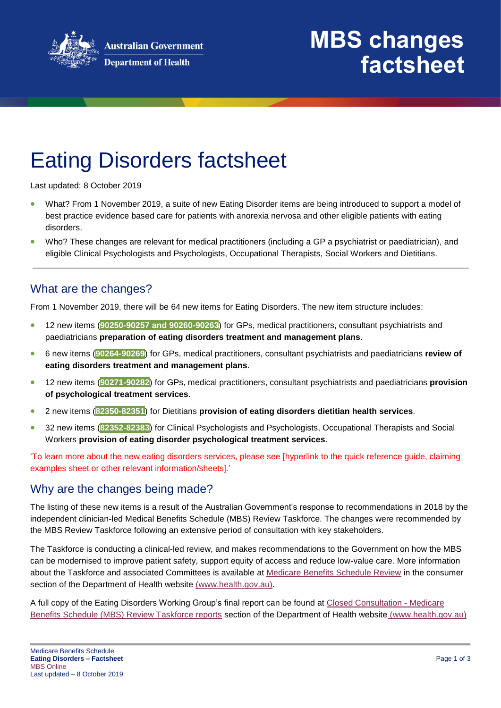

## **MBS changes factsheet**

# Eating Disorders factsheet

Last updated: 8 October 2019

- What? From 1 November 2019, a suite of new Eating Disorder items are being introduced to support a model of best practice evidence based care for patients with anorexia nervosa and other eligible patients with eating disorders.
- Who? These changes are relevant for medical practitioners (including a GP a psychiatrist or paediatrician), and eligible Clinical Psychologists and Psychologists, Occupational Therapists, Social Workers and Dietitians.

#### What are the changes?

From 1 November 2019, there will be 64 new items for Eating Disorders. The new item structure includes:

- 12 new items (**90250-90257 and 90260-90263**) for GPs, medical practitioners, consultant psychiatrists and paediatricians **preparation of eating disorders treatment and management plans**.
- 6 new items (**90264-90269**) for GPs, medical practitioners, consultant psychiatrists and paediatricians **review of eating disorders treatment and management plans**.
- 12 new items (**90271-90282**) for GPs, medical practitioners, consultant psychiatrists and paediatricians **provision of psychological treatment services**.
- 2 new items (**82350-82351**) for Dietitians **provision of eating disorders dietitian health services**.
- 32 new items (**82352-82383**) for Clinical Psychologists and Psychologists, Occupational Therapists and Social Workers **provision of eating disorder psychological treatment services**.

'To learn more about the new eating disorders services, please see [hyperlink to the quick reference guide, claiming examples sheet or other relevant information/sheets].'

### Why are the changes being made?

The listing of these new items is a result of the Australian Government's response to recommendations in 2018 by the independent clinician-led Medical Benefits Schedule (MBS) Review Taskforce. The changes were recommended by the MBS Review Taskforce following an extensive period of consultation with key stakeholders.

The Taskforce is conducting a clinical-led review, and makes recommendations to the Government on how the MBS can be modernised to improve patient safety, support equity of access and reduce low-value care. More information about the Taskforce and associated Committees is available at [Medicare Benefits Schedule Review](http://www.health.gov.au/internet/main/publishing.nsf/content/mbsreviewtaskforce) in the consumer section of the Department of Health website [\(www.health.gov.au\)](http://www.health.gov.au/).

A full copy of the Eating Disorders Working Group's final report can be found at [Closed Consultation -](https://www1.health.gov.au/internet/main/publishing.nsf/Content/MBSR-closed-consult) Medicare [Benefits Schedule \(MBS\) Review Taskforce reports](https://www1.health.gov.au/internet/main/publishing.nsf/Content/MBSR-closed-consult) section of the Department of Health website [\(www.health.gov.au\)](http://www.health.gov.au/)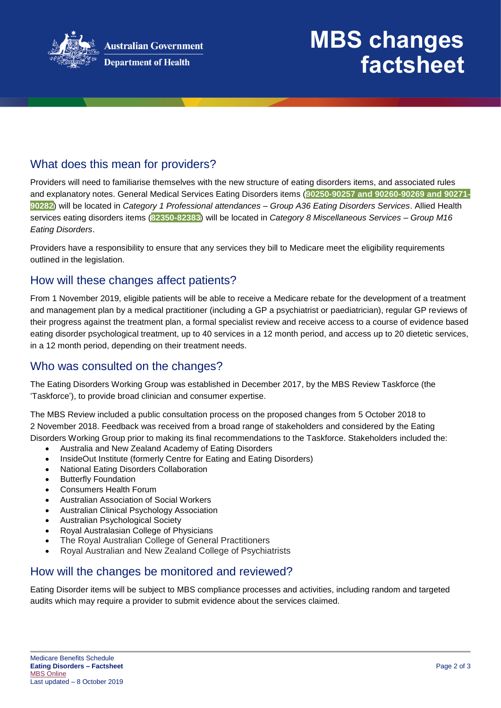

## **MBS changes factsheet**

### What does this mean for providers?

Providers will need to familiarise themselves with the new structure of eating disorders items, and associated rules and explanatory notes. General Medical Services Eating Disorders items (**90250-90257 and 90260-90269 and 90271- 90282**) will be located in *Category 1 Professional attendances – Group A36 Eating Disorders Services*. Allied Health services eating disorders items (**82350-82383**) will be located in *Category 8 Miscellaneous Services – Group M16 Eating Disorders*.

Providers have a responsibility to ensure that any services they bill to Medicare meet the eligibility requirements outlined in the legislation.

#### How will these changes affect patients?

From 1 November 2019, eligible patients will be able to receive a Medicare rebate for the development of a treatment and management plan by a medical practitioner (including a GP a psychiatrist or paediatrician), regular GP reviews of their progress against the treatment plan, a formal specialist review and receive access to a course of evidence based eating disorder psychological treatment, up to 40 services in a 12 month period, and access up to 20 dietetic services, in a 12 month period, depending on their treatment needs.

#### Who was consulted on the changes?

The Eating Disorders Working Group was established in December 2017, by the MBS Review Taskforce (the 'Taskforce'), to provide broad clinician and consumer expertise.

The MBS Review included a public consultation process on the proposed changes from 5 October 2018 to 2 November 2018. Feedback was received from a broad range of stakeholders and considered by the Eating Disorders Working Group prior to making its final recommendations to the Taskforce. Stakeholders included the:

- Australia and New Zealand Academy of Eating Disorders
- InsideOut Institute (formerly Centre for Eating and Eating Disorders)
- National Eating Disorders Collaboration
- Butterfly Foundation
- Consumers Health Forum
- Australian Association of Social Workers
- Australian Clinical Psychology Association
- Australian Psychological Society
- Royal Australasian College of Physicians
- The Royal Australian College of General Practitioners
- Royal Australian and New Zealand College of Psychiatrists

#### How will the changes be monitored and reviewed?

Eating Disorder items will be subject to MBS compliance processes and activities, including random and targeted audits which may require a provider to submit evidence about the services claimed.